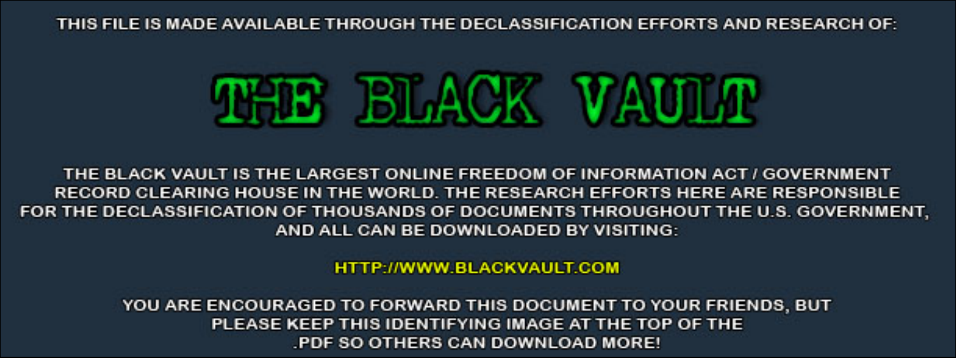THIS FILE IS MADE AVAILABLE THROUGH THE DECLASSIFICATION EFFORTS AND RESEARCH OF:



THE BLACK VAULT IS THE LARGEST ONLINE FREEDOM OF INFORMATION ACT / GOVERNMENT RECORD CLEARING HOUSE IN THE WORLD. THE RESEARCH EFFORTS HERE ARE RESPONSIBLE FOR THE DECLASSIFICATION OF THOUSANDS OF DOCUMENTS THROUGHOUT THE U.S. GOVERNMENT, AND ALL CAN BE DOWNLOADED BY VISITING:

**HTTP://WWW.BLACKVAULT.COM** 

YOU ARE ENCOURAGED TO FORWARD THIS DOCUMENT TO YOUR FRIENDS, BUT PLEASE KEEP THIS IDENTIFYING IMAGE AT THE TOP OF THE PDF SO OTHERS CAN DOWNLOAD MORE!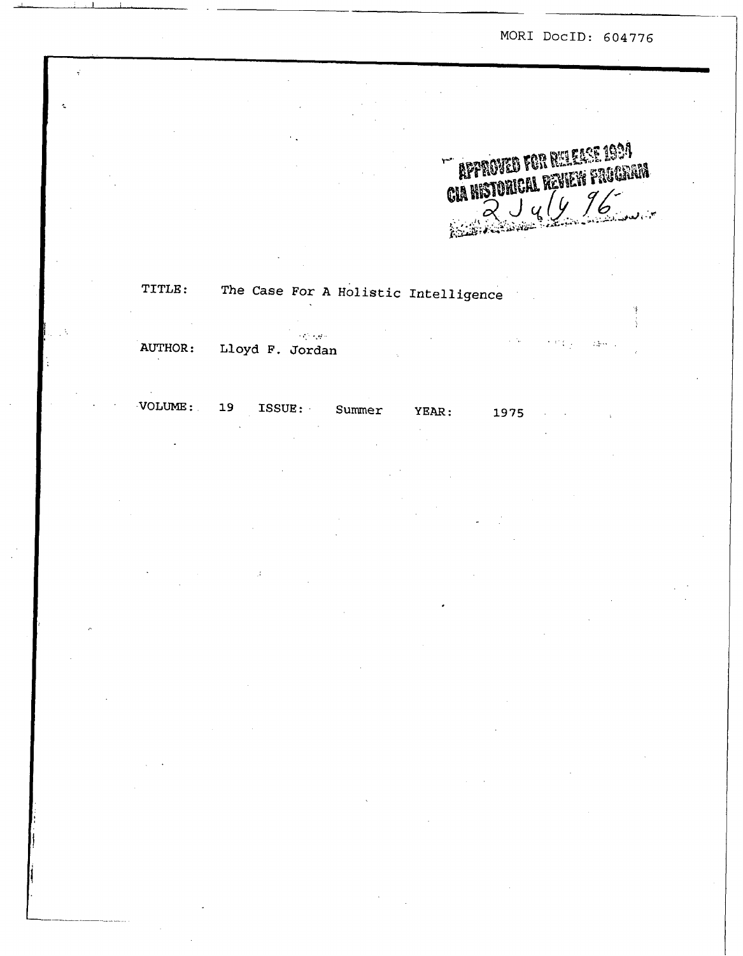MOR1 **DocID:** 604776 I

 $\overline{\phantom{a}}$ 

**APPROVED FOR RELEASE 1934 CIA HISTORICAL REVIEW FRUGHAM**  $J_y/y$  96 **UM MONDAY** 

# **TITLE:** The *Case* For **A Holistic Intelligence**

.; . **.a:** .. **AUTHOR: Lloyd F. Jordan**   $\label{eq:1} \mathcal{L}^{(1)}\left(\mathcal{L}^{(1)}\right) = \mathcal{L}^{(1)}\left(\mathcal{L}^{(1)}\right) = \mathcal{L}^{(2)}_{\mathcal{L}}\left(\mathcal{L}^{(1)}\right) = \mathcal{L}^{(2)}_{\mathcal{L}}\left(\mathcal{L}^{(1)}\right)$ 

I **I** I

..

 $VOLUTIONE: 19$  ISSUE: Summer

YEAR: 1975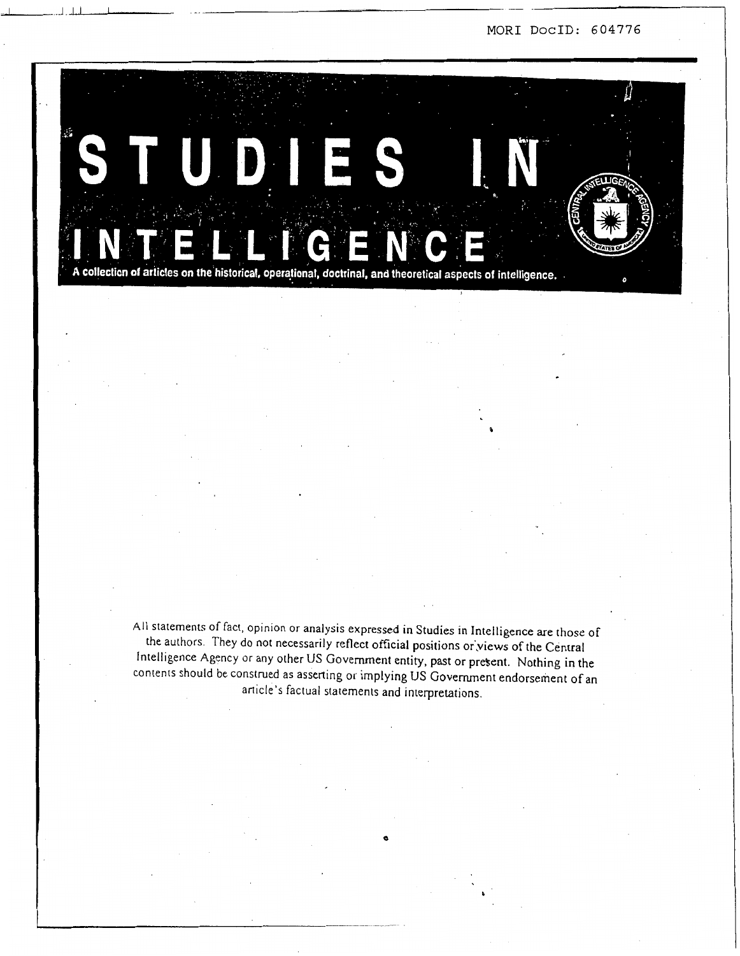MOR1 **DocID:** 604776



**All** statements of fact, opinion or analysis expressed in Studies in Intelligence are those of the authors. They do not necessarily reflect official positions or:views of the Central Intelligence Agency or any other US Government entity, past or present. Nothing in the contents should be construed as asserting or implying US Government endorsement of an article's factual statements and interpretations.

**b**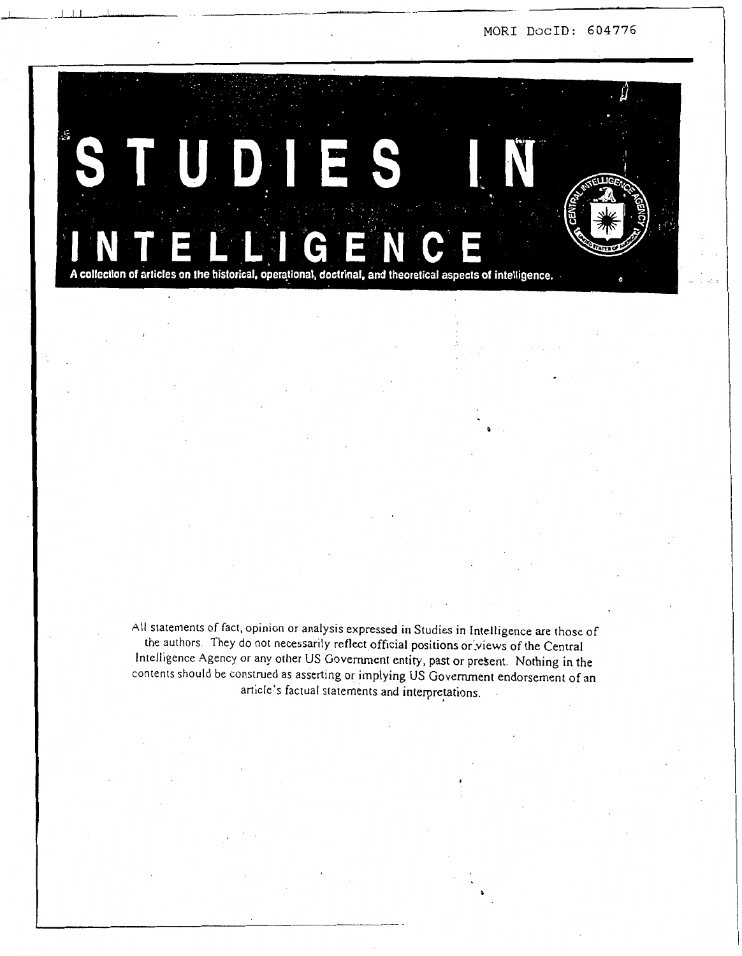MOR1 **DocID:** 604776



All statements of fact, opinion or analysis expressed in Studies in Intelligence are those of the authors. They **do** not necessarily reflect official positions or;views of the Central Intelligence Agency or any other US Government entity, past or present. Nothing in the contents should be construed as asserting or implying US Government endorsement of an article's factual statements and interpretations.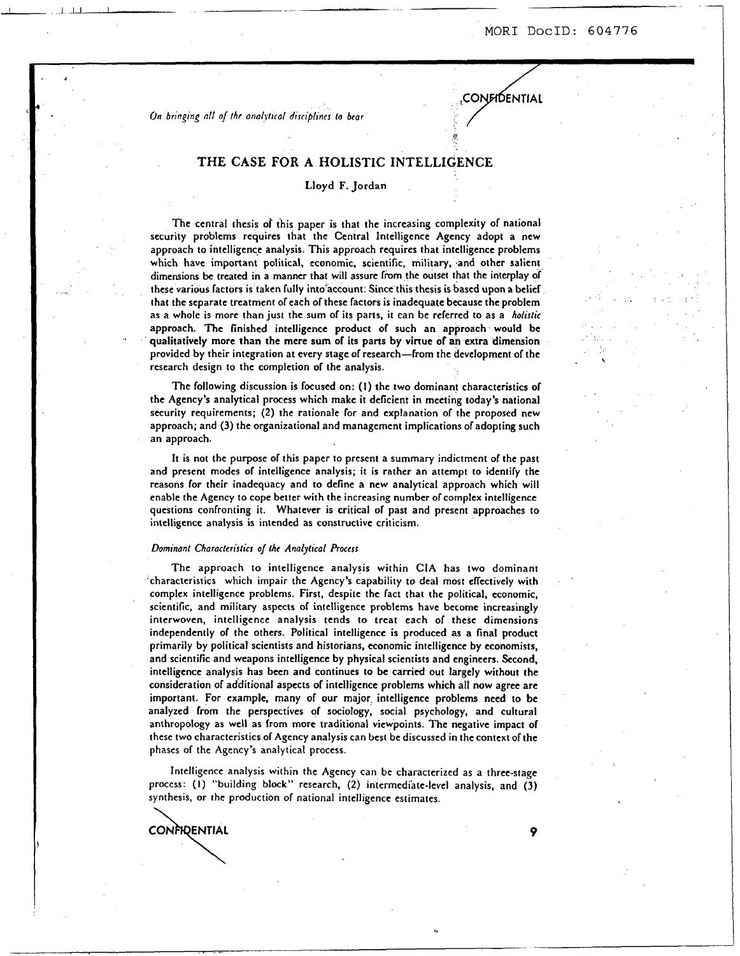$\ddot{\phantom{0}}$ 

**,CONFIDENTIAL** 

*On brrnping dl oj rhr anal~/tral disciplines !a bcar* 

## **THE CASE FOR A HOLISTIC INTELLIGENCE**

## Lloyd F. Jordan

The central thesis of this paper is that the increasing complexity of national security problems requires that the Central Intelligence Agency adopt a new approach to intelligence analysis. This approach requires that intelligence problems which have important political, economic, scientific, military, and other salient dimensions be treated in a manner that will assure from the outset that the interplay of these various factors is taken fully into'account. Since this thesis is based upon **a** belicf that the separate treatment of each of these factors is inadequate because the problem as a whole is more than just the sum of its parts, it can be referred to as a *hohsfic*  approach. The finished intelligence product of such an approach would be qualitatively more than the mere sum of its parts by virtue of **an** extra dimension provided **by** their integration at every stage of research-from the development of the research design to the completion of the analysis.

The following discussion is focused on: **(1)** the two dominant characteristics of the Agency's analytical process which make it deficient in meeting today's national security requirements; (2) the rationale for and explanation of the proposed new approach; and (3) the organizational and management implications of adopting such an approach.

It is not the purpose of this paper to present a summary indictment of the past and present modes of intelligence analysis; it is rather an attempt to identify the reasons for their inadequacy and to define a new analytical approach which will enable the Agency to cope better with the increasing number of complex intelligence questions confronting it. Whatever is critical of past and present approaches to intelligence analysis is intended as constructive criticism.

#### *Dominant Characlerisfics* **of** *the Analytical Process*

The approach to intelligence analysis within **CIA** has two dominant 'characteristics which impair the Agency's capability to deal most effectively with complex intelligence problems. First, despite the fact that the political, economic, scientific, and military aspects of intelligence problems have become increasingly interwoven, intelligence analysis tends to treat each of these dimensions independently of the others. Political intelligence is produced as a final product primarily by political scientists and historians, economic intelligence by economists, and scientific and weapons intelligence by physical scientists and engineers. Second, intelligence analysis has been and continues to be carried our largely without the consideration of additional aspects of intelligence problems which all now agree are important. **For** example, many of our major. intelligence problems need to be analyzed from the perspectives of sociology, social psychology, and cultural anthropology as well as from more traditional viewpoints. The negative impact of these two characteristics of Agency analysis can best be discussed in the context of the phases of the Agency's analytical process.

Intelligence analysis within the Agency can be characterized as a three-stage process: (1) "building block" research, (2) intermediate-level analysis, and (3) synthesis, or the production of national intelligence estimates.

**CONFIDENTIAL** 

.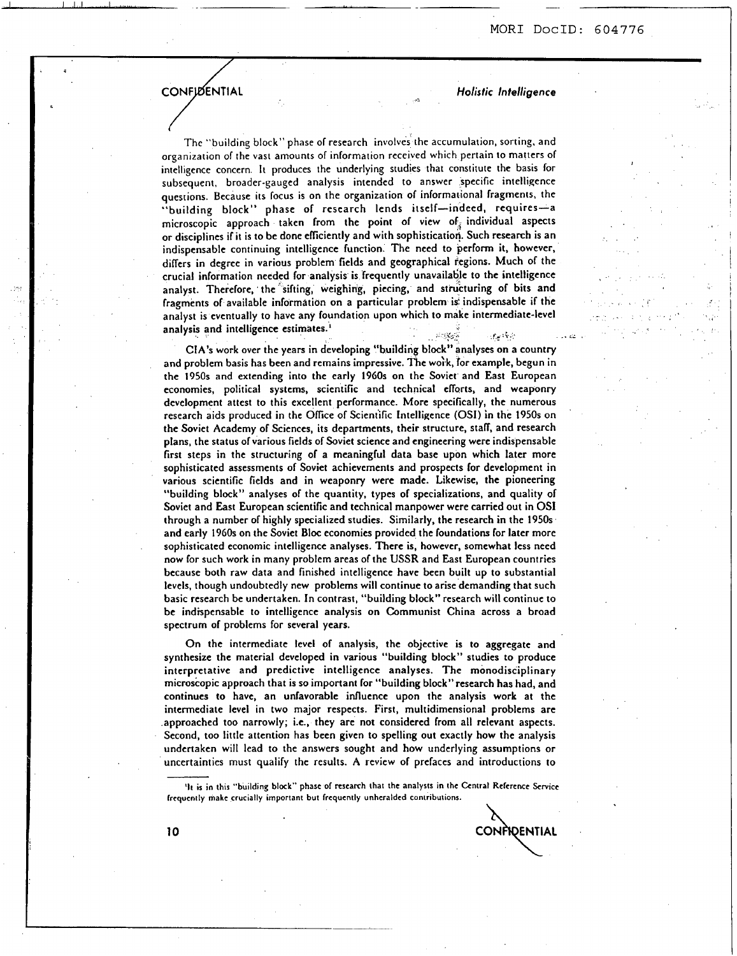## **CONFIDENTIAL**

*Holistic Intelligence* 

The "building block" phase of research involves the accumulation, sorting, and organization of the vast amounts of information received which pertain to matters of intelligence concern. It produces the underlying studies that constitute the basis for subsequent, broader-gauged analysis intended to answer specific intelligence questions. Because its focus is on the organization of informational fragments, the "building block" phase of research lends itself-indeed, requires-a microscopic approach taken from the point of view of individual aspects or disciplines if it is to be done elliciently and with sophistication. Such research is an indispensable continuing intelligence function. The need to perform it, however, differs in degree in various problem fields and geographical regions. Much of the crucial information needed for analysis is frequently unavaila6le to the intelligence analyst. Therefore, the sifting, weighing, piecing, and structuring of bits and fragments of available information on a particular problem is: indispensable if the analyst is eventually to have any foundation upon which to make intermediate-level analysis and intelligence estimates.<sup>1</sup> p **fL i** 

**CIA'S** work over the years in developing "building block" analyses on a country and problem basis has been and remains impressive. The work, for example, begun in the **1950s** and extending into the early **1960s** on the Soviet and East European economies, political systems, scientific and technical efforts, and weaponry development attest to this excellent performance. More specifically, the numerous research aids produced in the Ofice of Scientific Intelligence (OSI) in the **1950s** on the Soviet Academy of Sciences, its departments, their structure, staff, and research plans, the status of various fields of Soviet science and engineering were indispensable first steps in the structuring of a meaningful data base upon which later more sophisticated assessments of Soviet achievements and prospects for development in various scientific fields and in weaponry were made. Likewise, the pioneering "building block" analyses of the quantity, types of specializations, and quality of Soviet and East European scientific and technical manpower were carried out in **OS1**  through a number of highly specialized studies. Similarly, the research in the **1950s**  and early **1960s** on the Soviet Bloc economies provided the foundations for later more sophisticated economic intelligence analyses. There is, however, somewhat less need now for such work in many problem areas of the **USSR** and East European countries because both raw data and finished intelligence have been built up to substantial levels, though undoubtedly new problems will continue to arise demanding that such basic research be undertaken. In contrast, "building block" research will continue to be indispensable to intelligence analysis on Communist China across a broad spectrum of problems for several years.

On the intermediate level of analysis, the objective is to aggregate and synthesize the material developed in various "building block" studies to produce interpretative and predictive intelligence analyses. The monodisciplinary microscopic approach that is **so** important for "building b1ock"research has had, and continues to have, an unfavorable influence upon the analysis work at the intermediate level in two major respects. First, multidimensional problems are approached too narrowly; i.e., they are not considered from all relevant aspects. Second, too little attention has been given to spelling out exactly how the analysis undertaken will lead to the answers sought and how underlying assumptions or uncertainties must qualify the results. **A** review of prefaces and introductions to Intermediate level in two major respects. First, multidimensional problems are intermediate level in two major respects. First, multidimensional problems are approached too narrowly; i.e., they are not considered from all

<sup>811</sup> IS in thts "building block" phasc of rcscarch that the analysts in thc Gntral Rclcrcnce Service lrcqucntly makc crucially important but frcqucntly unhcraldcd contributions. \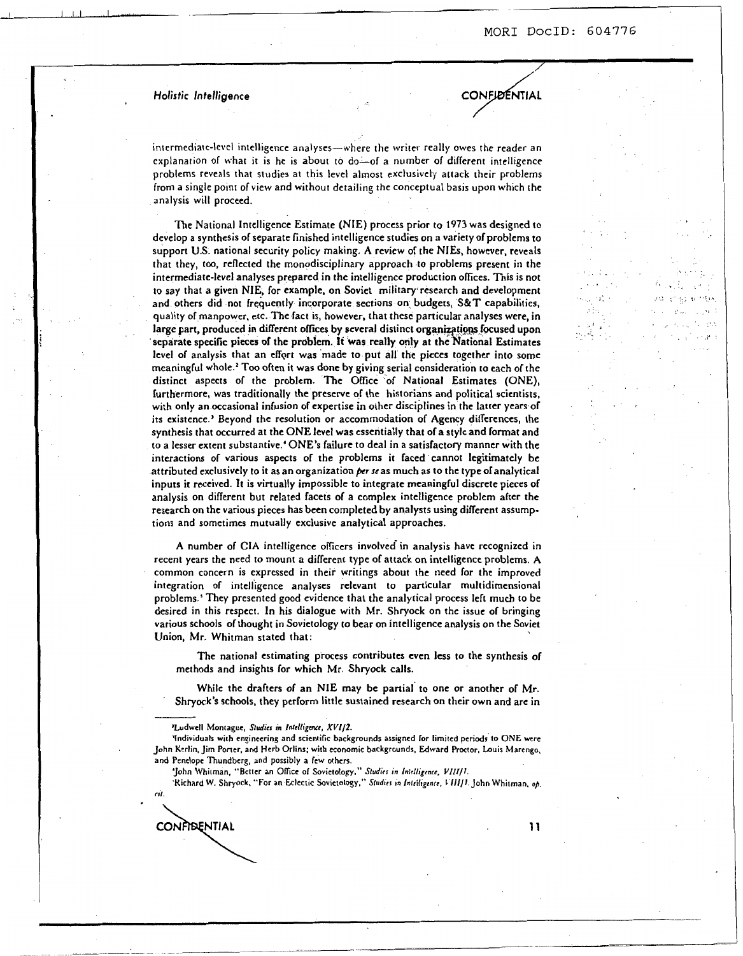,.

I. .. . ., $\cdot$  . ,. . , .. .. . ..

/

CONFIDENTIAL

## *Holistic Infelligence*

intermediate-level intelligence analyses-where the writer really owes the reader an explanation of what it is he is about to do-of a number of different intelligence problems reveals that studies at this level almost exclusively attack their problems from a single point of view and without detailing the conceptual basis upon which the analysis will proceed.

The National Intelligence Estimate (NIE) process prior to **1973** was designed **to**  develop a synthesis of separate finished intelligence studies on a variety of problems to support **U.S.** national security policy making. **A** review of the NIEs, however, reveals that they, too, reflected the monodisciplinary approach to problems present in the intermediate-level analyses prepared in the intelligence production offices. This is not to say that a given NIE, for example, on Soviet military research and development and others did not frequently incorporate sections on budgets, **S&T** capabilities, quality of manpower, etc. The fact is, however, that these particular analyses were, in large part, produced in different offices by several distinct organizations focused upon separate specific pieces **of** the problem. It was really only at the National Estimates level of analysis that an effqrt was made to put all the pieces together into some meaningful whole.' **Too** often it was done by giving serial consideration to each of the distinct aspects of the problem. The Ofice of National Estimates (ONE), furthermore, was traditionally the preserve of the historians and political scientists, with only an occasional infusion of expertise in other disciplines in the latter years of its existence.' Beyond the resolution or accommodation of Agency differences, the synthesis that occurred at the **ONE** level was essentially that of a style and format and to a lesser extent substantive.' ONE'S failure to deal in a satisfactory manner with the interactions of various aspects of the problems it faced cannot legitimately be attributed exclusively to it as an organization per se as much as to the type of analytical inputs it received. It is virtually impossible to integrate meaningful discrete pieces of analysis on different but related facets of a complex intelligence problem after the research on the various pieces has been completed by analysts using different assumptions and sometimes mutually exclusive analytical approaches.

**A** number of **CIA** intelligence officers involved-in analysis have recognized in recent years the need to mount a different type of attack on intelligence problems. **A**  common concern is expressed in their writings about the need for the improved integration of intelligence analyses relevant to particular multidimensional problems.' They presented good evidence that the analytical process left much *to* be desired in this respect. In his dialogue with Mr. Shryock on the issue of bringing various schools of thought in Sovietology to bear on intelligence analysis on the Soviet Union, Mr. Whitman stated that:

The national estimating process contributes even less to the synthesis of methods and insights for which Mr. Shryock calls.

While the drafters of an NIE may be partial' **to** one or another of Mr. Shryock's schools, they perform little sustained research on their own and are in

'Richard W. Shryock, "For an Eclectic Sovietology," Studies in Intelligence, VIII/1. John Whitman, op. *nl.* 

CONFIDENTIAL

**<sup>&#</sup>x27;Ludwcll Montague,** *Studits in Inklligme. XVIIZ.* 

<sup>&#</sup>x27;Individuals with engineering and scientific backgrounds assigned for limited periods to ONE were **John Kcrlin. Jim Poner, and Hcrb Orlins; with economic backgrounds, Edward Proctor, Louis Marengo, and Pcnclopc Thundbcrg, and possibly a few** others.

<sup>&#</sup>x27;John Whitman, "Better an Office of Sovietology," Studies in Intelligence, VIII/I.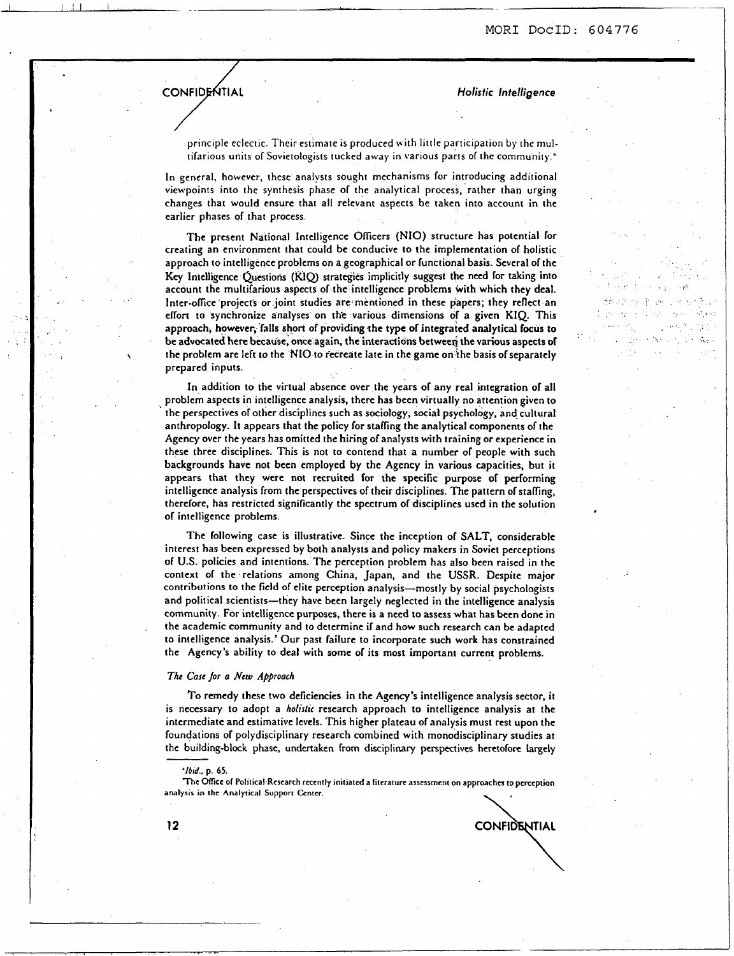, .., .. ' , **i'.**  ... . .. .... . , I..:.. , . **I-** , .. , . .. ,. .. **t** .:, . ;.. ... . . . 3,. ... ."; .. I.

CONFIDENTIAL

*Holistic Intelligence* 

CONFIDENTIAL

principle eclectic. Their estimate is produced with little participation by the multifarious units of Sovietologists tucked away in various parts of the community '

In general, however, these analysts sought mechanisms for introducing additional viewpoints into the synthesis phase of the analytical process, rather than urging changes that would ensure that all relevant aspects be taken into account in the earlier phases of that process.

The present National Intelligence Oficers (NIO) structure has potential for creating an environment that could be conducive to the implementation of holistic approach to intelligence problems on a geographical or functional basis. Several of the Key Intelligence Questions (KIQ) strategies implicitly suggest the need for taking into account the multifarious aspects of the intelligence problems with which they deal. Inter-ofice 'projects **or** joint studies are mentioned in these papers; they reflect an effort to synchronize analyses on the various dimensions of a given KIQ. This approach, however, falls short of providing the type of integrated analytical focus to be advocated here becau'se; once again, the interactions betweei the various aspects **of**  prepared inputs. \ the problem are left to the **NIO** to recreate late in the game on the basis ofseparately

In addition to the virtual absence over the years of any real integration of all problem aspects in intelligence analysis, there has been virtually no attention given to ' the perspectives of other disciplines such as sociology, social psychology, and cultural anthropology. It appears that the policy for staffing the analytical components of the Agency over the years has omitted the hiring of analysts with training **or** experience in these three disciplines. This is not to contend that a number of people with such backgrounds have not been employed by the Agency in various capacities, but it appears that they were not recruited for the specific purpose of performing intelligence analysis from the perspectives of their disciplines. The pattern of staffing, therefore, has restricted significantly the spectrum of disciplines used in the solution of intelligence problems.

The following case is illustrative. Since the inception of SALT, considerable interest has been expressed by both analysts and policy makers in Soviet perceptions of **U.S.** policies and intentions. The perception problem has also been raised in the context of the relations among China, Japan, and the **USSR.** Despite major contributions to the field of elite perception analysis-mostly by social psychologists and political scientists-they have been largely neglected in the intelligence analysis community. For intelligence purposes, there is a need to assess what has been done in the academic community and to determine if and how such research can be adapted to intelligence analysis.' Our past failure to incorporate such work has constrained the Agency's ability to deal with some of its most important current problems.

#### The Case for a New Approach

To remedy these two deficiencies in the Agency's intelligence analysis sector, it is necessary to adopt a *holidic* research approach to intelligence analysis at the intermediate and estimative levels. This higher plateau of analysis must rest upon the foundations of polydisciplinary research combined with monodisciplinary studies at the building-block phase, undertaken from disciplinary perspectives heretofore largely

*'/bid.,* **p. 65.** 

**The CMicc of Politica1,Rcscarch rcccntly initiatcd a** litcraiurt **asscssmcni on approaches ro pcrccption analysis in the Analytical** Support **Ccnrcr.**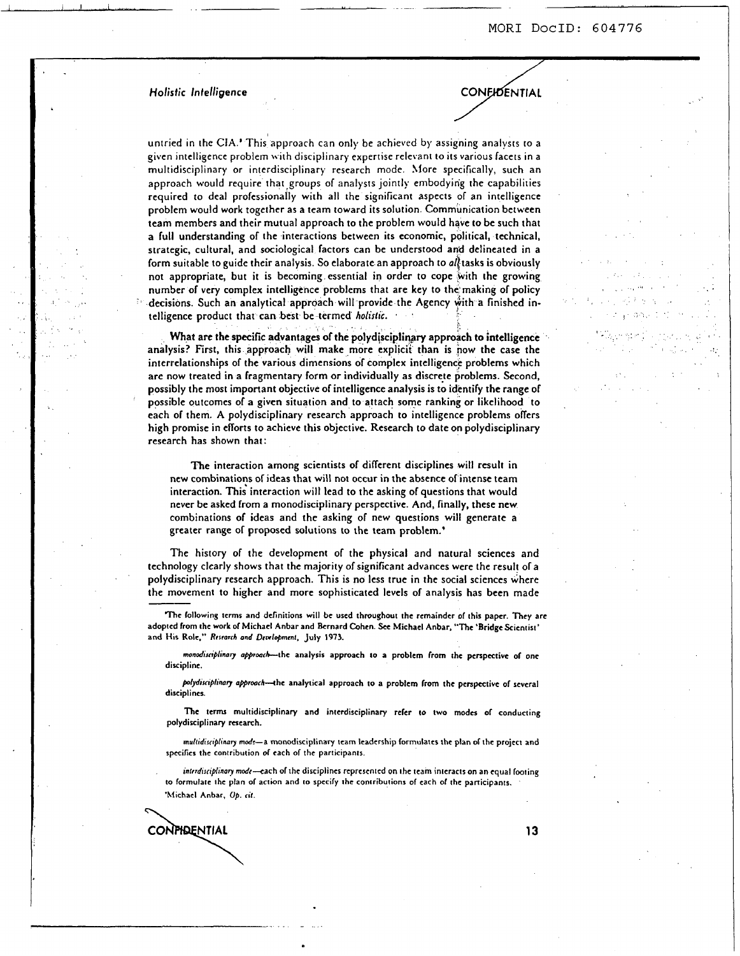**CONEIDENTIAL** 

**Holistic Intelligence** 

I I , I ..I. 1 **d** ......- *I),* .-

untried in the CIA ' This approach can only be achieved by assigning analysts to a given intelligence problem \\ ith disciplinary expertise relevant to its various facets in a multidisciplinary or interdisciplinary research mode. More specifically, such an approach would require that groups of analysts jointly embodying the capabilities required to deal professionally with all the significant aspects of an intelligence problem would work together as a team toward its solution. Communication between team members and their mutual approach to the problem would have to be such that a full understanding of the interactions between its economic, political, technical, strategic, cultural, and sociological factors can be understood and delineated in a form suitable to guide their analysis. So elaborate an approach to  $a\hat{l}$  tasks is obviously not appropriate, but it is becoming essential in order to cope with the growing number of very complex intelligence problems that are key to the making of policy decisions. Such an analytical approach will provide the Agency with a finished intelligence product that can best be termed *holistic.* ' '

What are the specific advantages of the polydisciplinary approach to intelligence analysis? First, this approach will make more explicit than is now the case the interrelationships of the various dimensions of complex intelligence problems which are now treated in a fragmentary form or individually as discrete problems. Second, possibly the most important objective of intelligence analysis is to identify the range of possible outcomes of **a** given situation and to attach some ranking or likelihood to each of them. **A** polydisciplinary research approach to intelligence problems offers high promise in efforts to achieve this objective. Research to date on polydisciplinary research has shown that:

The interaction among scientists of different disciplines will result in new combinatio?s **of** ideas that will not occur in the absence of'intcnse team interaction. This interaction will lead to the asking of questions that would never be asked from a monodisciplinary perspective. And, finally, these new combinations of ideas and the asking of new questions will generate a greater range of proposed solutions to the team problem.'

The history of the development of the physical and natural sciences and technology clearly shows that the majority of significant advances were the result of a polydisciplinary research approach. This is no less true in the social sciences where the movement to higher and more sophisticated levels of analysis has been made

**Thc following tcrms and definitions will be used throughout the remainder of this paper. They arc adoptcd from the work** *of* **Michael Anbar and Bcrnard Ghen. See Michael Anbar, "The 'Bridge Scientist'**  and His Role," Research and *Development*, July 1973.

*monodisciplinary approach*-the analysis approach to a problem from the perspective of one **discipline.** 

polydisciplinary approach-the analytical approach to a problem from the perspective of several **disciplines.** 

**The terms multidisciplinary and interdisciplinary refer to two modes** *of* **conducting**  polydisciplinary research.

*multidirciphuty* **mcdt-a monodisciplinary team leadership lormulatcs thc plan of thc projcct and specifics the contribution of tach of the participants.** 

interdisciplinary mode-cach of the disciplines represented on the team interacts on an equal footing to formulate the plan of action and to specify the contributions of each of the participants. **'Michael Anbar. Up.** *rif.* 

CONPIDENTIAL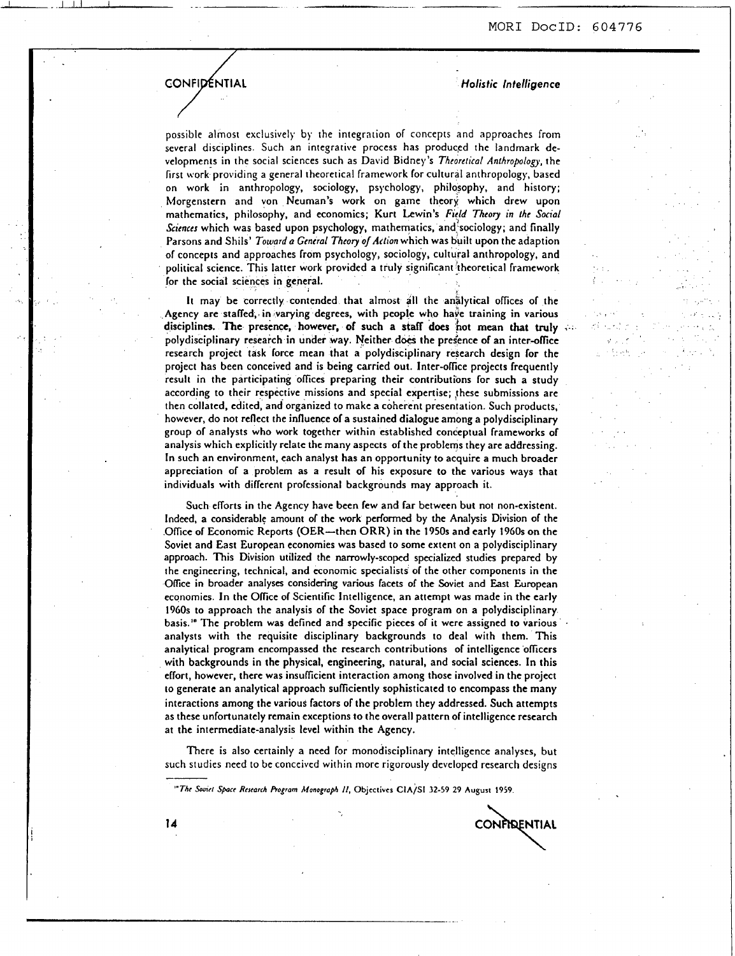tis v

# **CONFIDENTIAL**

L-- -- --I\_\_

*Holistic Intelligence* 

possible almost exclusively by the integration of concepts and approaches from several disciplines. Such an integrative process has produced the landmark developments in the social sciences such as David Bidney *'s Thcorcticol Anthropology,* the first work providing a general theoretical framework for cultural anthropology, based on work in anthropology, sociology, psychology, philosophy, and history; Morgenstern and von Neuman's work on game theory which drew upon mathematics, philosophy, and economics; Kurt Lewin's *Fyld* Theory *in lhe* Social *Sciences* which was based upon psychology, mathematics, and;sociology; and finally Parsons and Shils' *Toward* **o** *General Theory o/Aclion* which was built upon the adaption **of** concepts and approaches from psychology, sociology, cultural anthropology, and political science. This latter work provided a truly significant :theoretical framework for the social sciences in general.

It may be correctly contended that almost all the anslytical ofices **of** the Agency are staffed, in varying degrees, with people who have training in various disciplines. The presence, however, *of* **such a stafi** does **hot** mean *that* **truly** .-. polydisciplinary research in under way. Neither does the presence of an inter-office research project task force mean that a polydisciplinary research design **for** the project has been conceived and is being carried out. Inter-ofice projects frequently result in the participating ofices preparing their contributions for such a study according to their respective missions and special expertise; these submissions are then collated, edited, and organized to make a coherent presentation. Such products, however, do not reflect the influence **of** a sustained dialogue among a polydisciplinary group **of** analysts who work together within established conceptual frameworks of analysis which explicitly relate the many aspects of the problems they are addressing. In such an environment, each analyst has an opportunity to acquire a much broader appreciation **of** a problem as a result **of** his exposure to the various ways that individuals with different professional backgrounds may approach it.

Such efforts in the Agency have been few and far between but not non-existent. Indeed, a considerable amount **of** the work performed by the Analysis Division of the Ofice **of** Economic Reports (OER-then ORR) in the **1950s** and early **1960s** on the Soviet and East European economies was based to some extent on a polydisciplinary approach. This Division utilized the narrowly-scoped specialized studies prepared by the engineering, technical, and economic specialists **of** the other components in the Ofice in broader analyses considering various facets **of** the Soviet and East European economies. In the Ofice **of** Scientific Intelligence, an attempt was made in the early **1960s** to approach the analysis **of** the Soviet space program on **a** polydisciplinary basis.'" The problem was defined and specific pieces **of** it were assigned to various . analysts with the requisite disciplinary backgrounds to deal with them. This analytical program encompassed the research contributions **of** intelligence officers with backgrounds in the physical, engineering, natural, and social sciences. In this effort, however, there was insuficient interaction among those involved in the project to generate an analytical approach suficiently sophisticated to encompass the many interactions among the various factors of the problem they addressed. Such attempts as these unfortunately remain exceptions to the overall pattern **of** intelligence research at the intermediate-analysis level within the Agency.

There is also certainly a need for monodisciplinary intelligence analyses, but such studies need to be conceived within more rigorously developed research designs

*'"The SoMd Spcr Rcstarch Ptagrom ManogropA II,* **Objcctivcr ClA/SI** *32-59 29* **August** *1959.* 

CONFIDENTIAL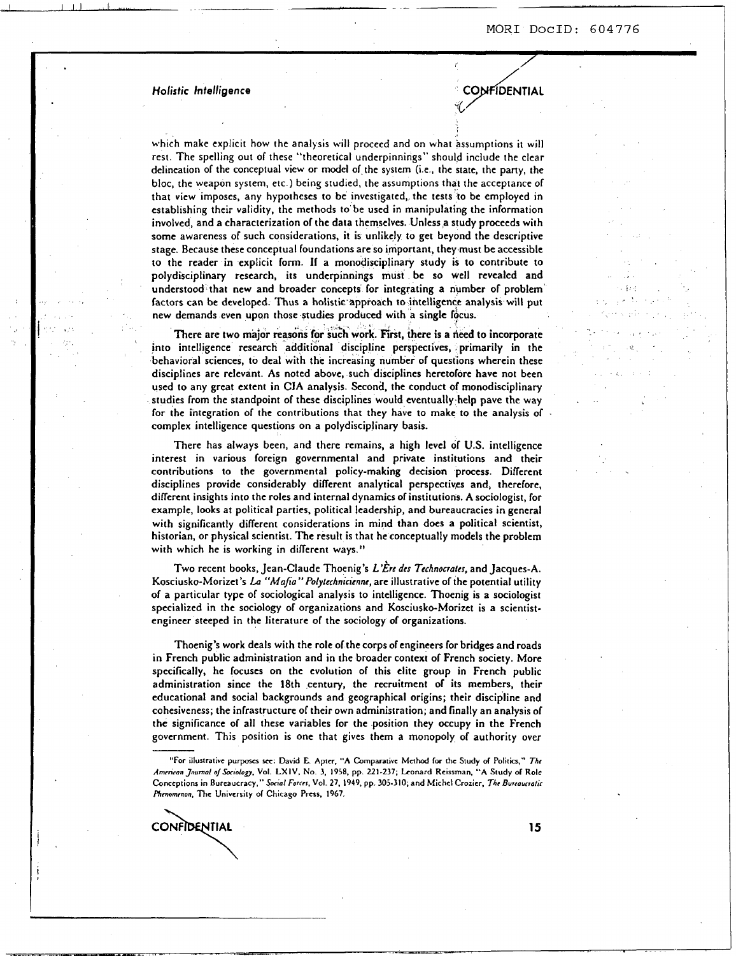CONFIDENTIAL

 $\mathcal{L}_{\mathcal{B}}$  ,  $\mathcal{L}_{\mathcal{B}}$ .,\* .. '. , .. . .. ... **1** ,

 $\mathcal{L} = \{ \mathbf{u}_1, \mathbf{v}_2, \mathbf{v}_3, \ldots, \mathbf{v}_{n-1} \}$  , where  $\mathcal{L} = \{ \mathbf{u}_1, \mathbf{v}_2, \ldots, \mathbf{v}_{n-1} \}$ 

## *Holistic Intelligence*

I I I,) 1 , ,., , , ,

..

..

'

, .,

which make explicit how the analjsis will proceed and on what assumptions it **will**  rest. The spelling out of these "theoretical underpinnings" should include the clear delineation of the conceptual view or model of the system (Le, the state, the party, the bloc, the weapon system, etc ) being studied, the assumptions that the acceptance of that view imposes, any hypotheses to be investigated, the tests to be employed in establishing their validity, the methods to be used in manipulating the information involved, and a characterization of the data themselves. Unless a study proceeds with some awareness of such considerations, it is unlikely to get beyond the descriptive stage. Because these conceptual foundations are **so** important, they must be accessible *to* the reader in explicit form. If a monodisciplinary study is to contribute to polydisciplinary research, its underpinnings must be **so** well revealed and understood that new and broader concepts for integrating a number of problem factors can be developed. **Thus** a holistic approach **to** intelligence analysis will put new demands even upon those studies produced with a single

There are two major reasons for such work. First, there is a need to incorporate into intelligence research additional discipline perspectives, primarily in the behavioral sciences, to deal with the increasing number of questions wherein these disciplines are relevant. As noted above, such disciplines heretofore have not been used to any great extent in CIA analysis. Second. the conduct of monodisciplinary studies from the standpoint of these disciplines would eventually.help pave the way for the integration of the contributions that they have to make to the analysis of . complex intelligence questions on a polydisciplinary basis.

There has always been, and there remains, a high level of **U.S.** intelligence interest in various foreign governmental and private institutions and their contributions to the governmental policy-making decision process. Different disciplines provide considerably different analytical perspectives and, therefore, different insights into the roles and internal dynamics of institutions. A sociologist, for example, looks at political parties, political leadership, and bureaucracies in general with significantly different considerations in mind than does a political scientist, historian, or physical scientist. The result is that he conceptually models the problem with which he is working in different ways."

Two recent books, Jean-Claude Thoenig's *L \$re des Technorioter,* and Jacques-A. Kosciusko-Morizet's *Lo "Mojio" Polyfcchnicicnnc,* are illustrative of the potential utility of a particular type of sociological analysis to intelligence. Thoenig is a sociologist specialized in the sociology of organizations and Kosciusko-Morizet is a scientistengineer steeped in the literature of the sociology of organizations.

Thoenig's work deals with the role of the corps of engineers for bridges and roads in French public administration and in the broader context of French society. More specifically, he focuses on the evolution of this elite group in French public administration since the 18th century, the recruitment of its members, their educational and social backgrounds and geographical origins; their discipline and cohesiveness; the infrastructure of their own administration; and finally an analysis of the significance of all these variables for the position they occupy in the French government. This position is one that gives them a monopoly of authority over

CONFIDENTIAL

**<sup>&</sup>quot;For** illustrative **purposes** *see.* Dawd E **Aptcr. "A** Cornparaurc **Mcrhod for the** Study **d Politia,"** *Thr ArnrnronJnumol o/soCtdo~.* **Vol LXIV. No 3,** *1958,* pp **221-237,** Lonard Reissrnan, **"A** Study **of** Role **Conccptions** in Bureaucracy," Social Forcer. **Vol 27. 1949, pp. 305-310, and** Michcl Crozier. The Burroutro/ic *Plimommon.* **The** University **or** Chicago Press. **1967.**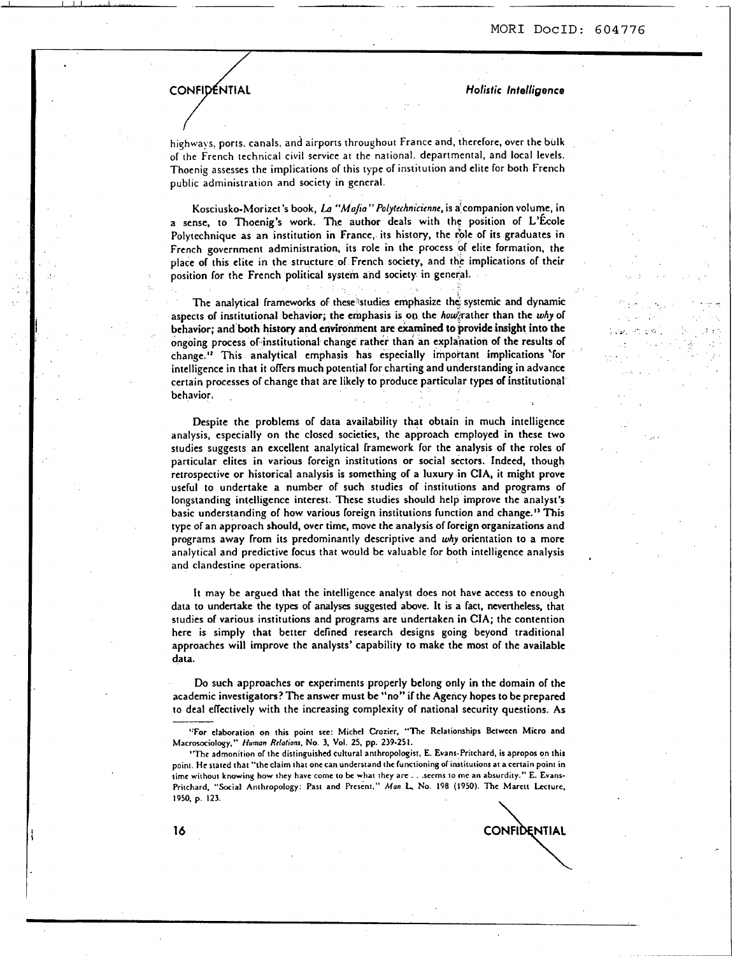## **CONFIDENTIAL** *CONFIDENTIAL*

I I I I -\*opL=yyw.,

highways, ports. canals, and airports throughout France and, therefore, over the bulk of the French technical civil service at the national. departmental, and local levels. Thoenig assesses the implications of this type of institution and elite for both French public administration and society in general

Kosciusko-Morizet's book, *La "Mafia" Polytechnicienne*, is a companion volume, in a sense, to Thoenig's work. The author deals with the position of L'Ecole Polytechnique as an institution in France, its history, the role of its graduates in French government administration, its role in the process of elite formation, the place of this elite in the structure of French society, and the implications of their position for the French political system and society in general.

The analytical frameworks of these studies emphasize the systemic and dynamic aspects of institutional behavior; the emphasis is on the *how*trather than the why of behavior: and both history and environment are examined to provide insight into the ongoing process of institutional change rather than an explanation of the results of change." This analytical emphasis has especially impoitant implications 'for intelligence in that it offers much potential for charting and understanding in advance certain processes of change that are likely to produce particular types of institutional behavior.

Despite the problems of data availability that obtain in much intelligence analysis, especially on the closed societies, the approach employed in these two studies suggests an excellent analytical framework for the analysis of the roles of particular elites in various foreign institutions or social sectors. Indeed, though retrospective **or** historical analysis is something of a luxury in **CIA,** it might prove useful **IO** undertake a number of such studies of institutions and programs of longstanding intelligence interest. These studies should help improve the analyst's basic understanding of how various foreign institutions function and change." This type of an approach should, over time, move the analysis of foreign organizations and programs away from its predominantly descriptive and *why* orientation to a more analytical and predictive focus that would be valuable for both intelligence analysis and clandestine operations.

It may be argued that the intelligence analyst does not have access to enough data to undertake the types of analyses suggested above. It is a fact, nevertheless, that studies of various institutions and programs are undertaken in **CIA;** the contention here is simply that better defined research designs going beyond traditional approaches will improve the analysts' capability to make the most of the available data.

**Do** such approaches or experiments properly belong only in the domain of the academic investigators? The answer must be "no" if the Agency hopes to be prepared Do such approaches or experiments properly belong only in the domain of the academic investigators? The answer must be "no" if the Agency hopes to be prepared to deal effectively with the increasing complexity of national

**CONFIDENTIAL** 

**<sup>&#</sup>x27;:For elaboration on this point see: Michcl Croricr, "The Relationships Between Micro and Macrosociology."** *Humon Rrlotionr,* **No. 3, Vol. 25, pp. 239-251.** 

**<sup>&#</sup>x27;Thc admonition** or **the distinguished cultural anthropologist. E. Evans-Pritchard, is apropos on this point. He stated that "theclaim that one can undcrrtand thc functioning of irustitutions at accrtain point in time rr.ithout knowiny how thcy havc come to be what thcy arc.** . **.sccms to me an absurdity." E. Evans-Pritchard, "Social Anthropology: Part and Prcrent."** *Man* **L No. 198 (1950). Thc Marctt Lccturc. 1950. p. 123.**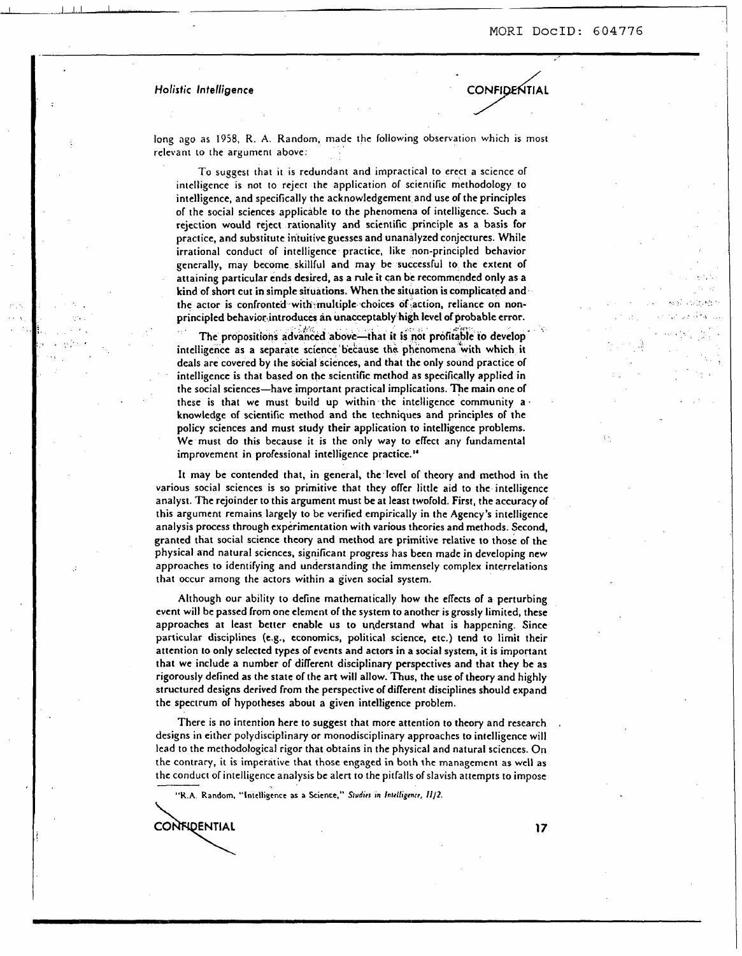#### Holistic Intelligence

CONFIDENTIAL

long ago as 1958, R. A. Random, made the following observation which is most relevant to the argument above:

To suggest that it is redundant and impractical to erect a science of intelligence is not to reject the application of scientific methodology to intelligence, and specifically the acknowledgement and use of the principles of the social sciences applicable to the phenomena of intelligence. Such a rejection would reject rationality and scientific principle as a basis for practice, and substitute intuitive guesses and unanalyzed conjectures. While irrational conduct of intelligence practice, like non-principled behavior generally, may become skillful and may be successful to the extent of attaining particular ends desired, as a rule it can be recommended only as a kind of short cut in simple situations. When the situation is complicated and the actor is confronted with multiple choices of action, reliance on nonprincipled behaviorintroduces an **unacceptably** high level of probable error.

the propositions advanced above—that it is not profitable to develop intelligence as a separate science because the phenomena with which it deals are covered by the social sciences, and that the only sound practice of intelligence is that based on the scientific method as specifically applied in the social sciences-have important practical implications. The main one of these is that we must build up within the intelligence community a. knowledge of scientific method and the techniques and principles of the policy sciences and must study their application **to** intelligence problems. We must do this because it is the only way to effect any fundamental improvement in professional intelligence practice."

It may be contended that, in general, the level of theory and method in the various social sciences is **so** primitive that they offer little aid to the intelligence analyst. The rejoinder to this argument must be at least twofold. First, the accuracy of this argument remains largely to be verified empirically in the Agency's intelligence analysis process through experimentation with various theories and methods. Second, granted that social science theory and method are primitive relative to those **of** the physical and natural sciences, significant progress has been made in developing new approaches **to** identifying and understanding the immensely complex interrelations that occur among the actors within a given social system.

Although **our** ability to define mathematically how the effects of a perturbing event will be passed from one element of the system **to** another is grossly limited, these approaches at least better enable **us** to understand what is happening. Since particular disciplines (e.g., economics, political science, etc.) tend to limit their attention to only selected types of events and actors in a social system, it is important that we include a number of diflerent disciplinary perspectives and that they be as rigorously defined as the state of the art will allow. Thus, the use of theory and highly structured designs derived from the perspective **of** different disciplines should expand the spectrum of hypotheses about a given intelligence problem.

There is no intention here to suggest that more attention to theory and research designs in either polydisciplinary or monodisciplinary approaches to intelligence will lead to the methodotogical rigor that obtains in the physical and natural sciences. On the contrary, it is imperative that those engaged in both the management as well as the conduct of intelligence analysis **be** alert to the pitfalls of slavish attempts to impose

**"K A Random. "lntclhgmcc as a Scicnce."** *Sludiri* **in** */nld/igmrr, ///2.* 

**CONFIDENTIAL** 

.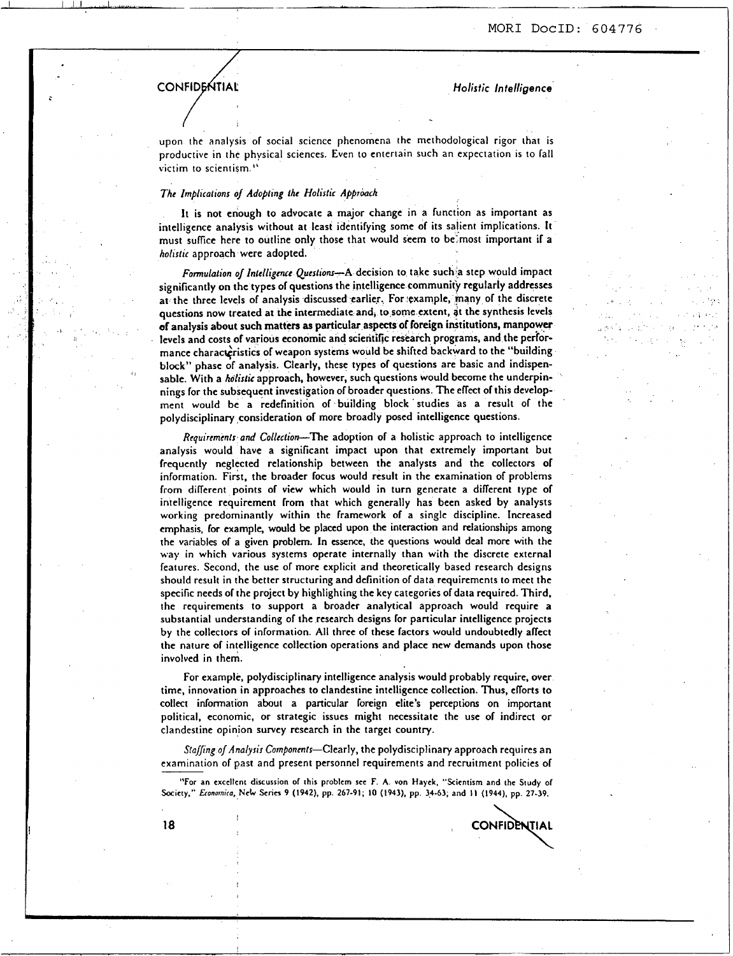...

## **CONFIDENTIAL**

./ '.,

*HoIisiic Intelligence* 

**CONFIDENTIAL** 

upon the analysis of social science phenomena the methodological rigor that is productive in the physical sciences. Even to entertain such an expectation is to fall victim to scient **ism.** ''

## The Implications **o/** Adopting the Holistic Approach

It is not enough to advocate a major change in a function as important as intelligence analysis without at least identifying some of its salient implications. It must sulfce here to outline only those that would seem to be'most important if a holistic approach were adopted.

Fonulation *of* Intelligence Questions-A decision to take such a step would impact significantly on the types **of** questions the intelligence community regularly addresses at the three levels of analysis discussed earlier. For example, many of the discrete questions now treated at the intermediate and, to some extent, at the synthesis levels **of** analysis about such matters **as** particular aspects of foreign institutions, manpower levels and costs of various economic and scientific research programs, and the performance characgristics **of** weapon systems would be shifted backward to the "building block" phase **of** analysis. Clearly, these types **of** questions are basic and indispensable. With a holistic approach, however, such questions would become the underpinnings for the subsequent investigation **of** broader questions. The effect **of** this development would be a redefinition of building block studies as a result of the polydisciplinary consideration *of* more broadly posed intelligence questions.

*Rcquiremmfs* and Coflecfion-The adoption **of** a holistic approach to intelligence analysis would have a significant impact upon that extremely important but frequently neglected relationship between the analysts and the collectors of information. First, the broader focus would result in the examination of problems from different points of view which would in turn generate a different type of intelligence requirement from that which generally has been asked by analysts working predominantly within the framework of a single discipline. Increased emphasis, for example, would **be** placed upon **the** interaction and relationships among the variables of a given problem. In essence, the questions would deal more with the way in which various systems operate internally than with the discrete external features. Second, the use of more explicit and theoretically based research designs should result in the better structuring and definition of data requirements to meet the specific needs of the project by highlighting the key categories **of** data required. Third, the requirements to support a broader analytical approach would require a substantial understanding of the research designs for particular intelligence projects by the collectors of information. All three of these factors would undoubtedly affect the nature of intelligence collection operations and place new demands upon those involved in them.

For example, polydisciplinary intelligence analysis would probably require, over time, innovation in approaches to clandestine intelligence collection. Thus, eflorts **to**  collect information about a particular foreign elite's perceptions on important political, economic, **or** strategic issues might necessitate the use of indirect or clandestine opinion survey research in the target country.

Staffing of Analysis Components-Clearly, the polydisciplinary approach requires an examination of past and present personnel requirements and recruitment policies of

**"For an cxccllcnt discussion of this problcm scc F A von Hayck. "Scicntisrn and thc Study of Socrcty." Eronornita, Nck Scnes 9 (1942), pp. 267-91, 10 (1943), pp. 34-63, and I1 (1944). pp 27-39.** 

**18** 

I